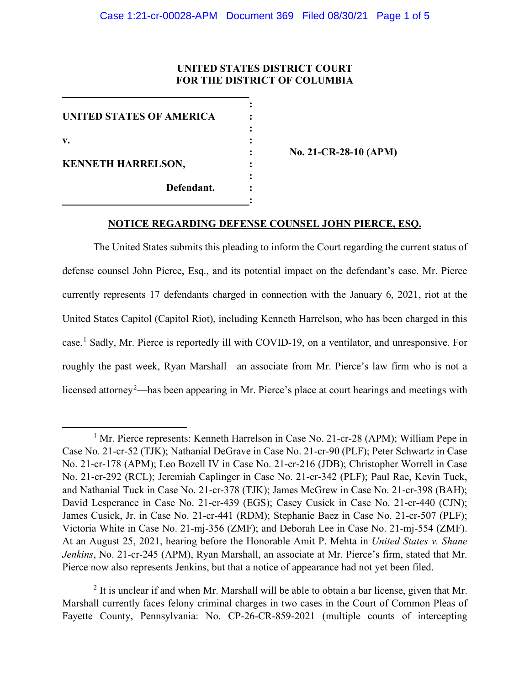# **UNITED STATES DISTRICT COURT FOR THE DISTRICT OF COLUMBIA**

**:** 

| <b>UNITED STATES OF AMERICA</b>         |             |
|-----------------------------------------|-------------|
|                                         |             |
| V.                                      |             |
|                                         | No. 21-CR-2 |
| <b>KENNETH HARRELSON,</b><br>Defendant. |             |
|                                         |             |
|                                         |             |
|                                         |             |

**\_\_\_\_\_\_\_\_\_\_\_\_\_\_\_\_\_\_\_\_\_\_\_\_\_\_\_\_\_\_\_\_\_\_\_\_**

**: No. 21-CR-28-10 (APM)**

## **NOTICE REGARDING DEFENSE COUNSEL JOHN PIERCE, ESQ.**

The United States submits this pleading to inform the Court regarding the current status of defense counsel John Pierce, Esq., and its potential impact on the defendant's case. Mr. Pierce currently represents 17 defendants charged in connection with the January 6, 2021, riot at the United States Capitol (Capitol Riot), including Kenneth Harrelson, who has been charged in this case.<sup>1</sup> Sadly, Mr. Pierce is reportedly ill with COVID-19, on a ventilator, and unresponsive. For roughly the past week, Ryan Marshall—an associate from Mr. Pierce's law firm who is not a licensed attorney<sup>2</sup>—has been appearing in Mr. Pierce's place at court hearings and meetings with

<sup>&</sup>lt;sup>1</sup> Mr. Pierce represents: Kenneth Harrelson in Case No. 21-cr-28 (APM); William Pepe in Case No. 21-cr-52 (TJK); Nathanial DeGrave in Case No. 21-cr-90 (PLF); Peter Schwartz in Case No. 21-cr-178 (APM); Leo Bozell IV in Case No. 21-cr-216 (JDB); Christopher Worrell in Case No. 21-cr-292 (RCL); Jeremiah Caplinger in Case No. 21-cr-342 (PLF); Paul Rae, Kevin Tuck, and Nathanial Tuck in Case No. 21-cr-378 (TJK); James McGrew in Case No. 21-cr-398 (BAH); David Lesperance in Case No. 21-cr-439 (EGS); Casey Cusick in Case No. 21-cr-440 (CJN); James Cusick, Jr. in Case No. 21-cr-441 (RDM); Stephanie Baez in Case No. 21-cr-507 (PLF); Victoria White in Case No. 21-mj-356 (ZMF); and Deborah Lee in Case No. 21-mj-554 (ZMF). At an August 25, 2021, hearing before the Honorable Amit P. Mehta in *United States v. Shane Jenkins*, No. 21-cr-245 (APM), Ryan Marshall, an associate at Mr. Pierce's firm, stated that Mr. Pierce now also represents Jenkins, but that a notice of appearance had not yet been filed.

 $<sup>2</sup>$  It is unclear if and when Mr. Marshall will be able to obtain a bar license, given that Mr.</sup> Marshall currently faces felony criminal charges in two cases in the Court of Common Pleas of Fayette County, Pennsylvania: No. CP-26-CR-859-2021 (multiple counts of intercepting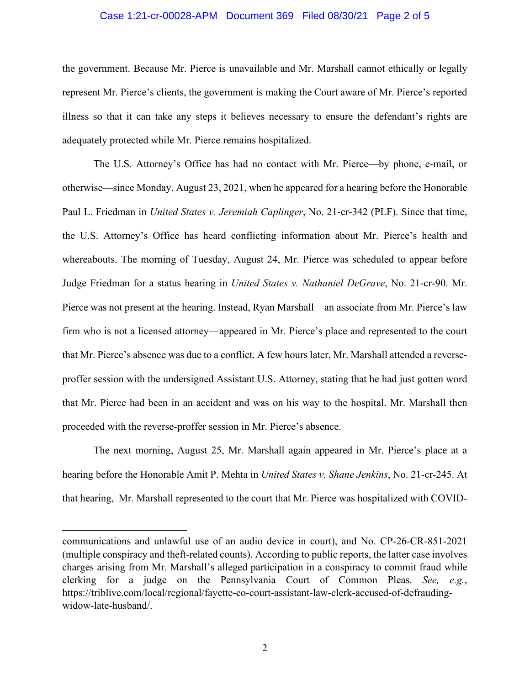## Case 1:21-cr-00028-APM Document 369 Filed 08/30/21 Page 2 of 5

the government. Because Mr. Pierce is unavailable and Mr. Marshall cannot ethically or legally represent Mr. Pierce's clients, the government is making the Court aware of Mr. Pierce's reported illness so that it can take any steps it believes necessary to ensure the defendant's rights are adequately protected while Mr. Pierce remains hospitalized.

The U.S. Attorney's Office has had no contact with Mr. Pierce—by phone, e-mail, or otherwise—since Monday, August 23, 2021, when he appeared for a hearing before the Honorable Paul L. Friedman in *United States v. Jeremiah Caplinger*, No. 21-cr-342 (PLF). Since that time, the U.S. Attorney's Office has heard conflicting information about Mr. Pierce's health and whereabouts. The morning of Tuesday, August 24, Mr. Pierce was scheduled to appear before Judge Friedman for a status hearing in *United States v. Nathaniel DeGrave*, No. 21-cr-90. Mr. Pierce was not present at the hearing. Instead, Ryan Marshall—an associate from Mr. Pierce's law firm who is not a licensed attorney—appeared in Mr. Pierce's place and represented to the court that Mr. Pierce's absence was due to a conflict. A few hours later, Mr. Marshall attended a reverseproffer session with the undersigned Assistant U.S. Attorney, stating that he had just gotten word that Mr. Pierce had been in an accident and was on his way to the hospital. Mr. Marshall then proceeded with the reverse-proffer session in Mr. Pierce's absence.

The next morning, August 25, Mr. Marshall again appeared in Mr. Pierce's place at a hearing before the Honorable Amit P. Mehta in *United States v. Shane Jenkins*, No. 21-cr-245. At that hearing, Mr. Marshall represented to the court that Mr. Pierce was hospitalized with COVID-

communications and unlawful use of an audio device in court), and No. CP-26-CR-851-2021 (multiple conspiracy and theft-related counts). According to public reports, the latter case involves charges arising from Mr. Marshall's alleged participation in a conspiracy to commit fraud while clerking for a judge on the Pennsylvania Court of Common Pleas. *See, e.g.*, https://triblive.com/local/regional/fayette-co-court-assistant-law-clerk-accused-of-defraudingwidow-late-husband/.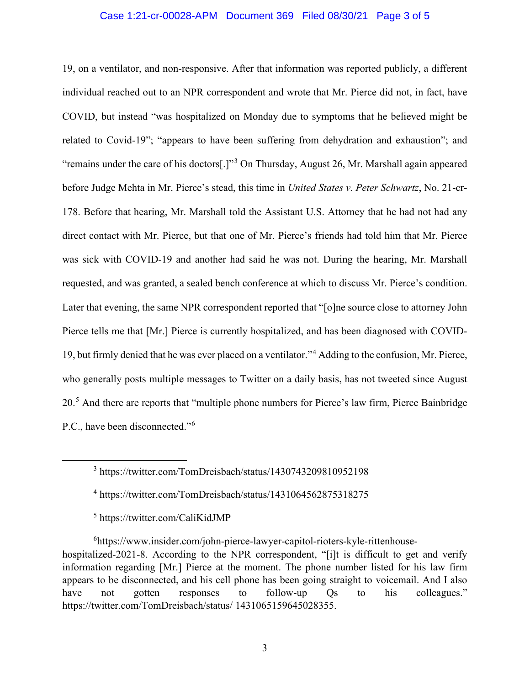## Case 1:21-cr-00028-APM Document 369 Filed 08/30/21 Page 3 of 5

19, on a ventilator, and non-responsive. After that information was reported publicly, a different individual reached out to an NPR correspondent and wrote that Mr. Pierce did not, in fact, have COVID, but instead "was hospitalized on Monday due to symptoms that he believed might be related to Covid-19"; "appears to have been suffering from dehydration and exhaustion"; and "remains under the care of his doctors[.]"<sup>3</sup> On Thursday, August 26, Mr. Marshall again appeared before Judge Mehta in Mr. Pierce's stead, this time in *United States v. Peter Schwartz*, No. 21-cr-178. Before that hearing, Mr. Marshall told the Assistant U.S. Attorney that he had not had any direct contact with Mr. Pierce, but that one of Mr. Pierce's friends had told him that Mr. Pierce was sick with COVID-19 and another had said he was not. During the hearing, Mr. Marshall requested, and was granted, a sealed bench conference at which to discuss Mr. Pierce's condition. Later that evening, the same NPR correspondent reported that "[o]ne source close to attorney John Pierce tells me that [Mr.] Pierce is currently hospitalized, and has been diagnosed with COVID-19, but firmly denied that he was ever placed on a ventilator."<sup>4</sup> Adding to the confusion, Mr. Pierce, who generally posts multiple messages to Twitter on a daily basis, has not tweeted since August 20.<sup>5</sup> And there are reports that "multiple phone numbers for Pierce's law firm, Pierce Bainbridge P.C., have been disconnected."<sup>6</sup>

<sup>3</sup> https://twitter.com/TomDreisbach/status/1430743209810952198

<sup>4</sup> https://twitter.com/TomDreisbach/status/1431064562875318275

<sup>5</sup> https://twitter.com/CaliKidJMP

6 https://www.insider.com/john-pierce-lawyer-capitol-rioters-kyle-rittenhousehospitalized-2021-8. According to the NPR correspondent, "[i]t is difficult to get and verify information regarding [Mr.] Pierce at the moment. The phone number listed for his law firm appears to be disconnected, and his cell phone has been going straight to voicemail. And I also have not gotten responses to follow-up Qs to his colleagues." https://twitter.com/TomDreisbach/status/ 1431065159645028355.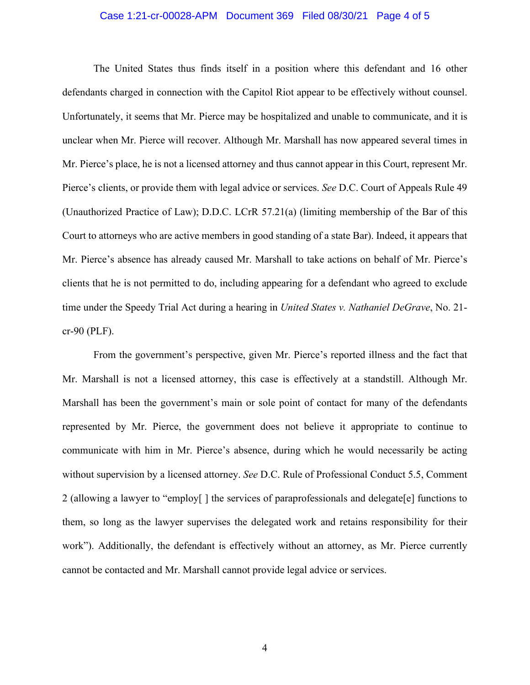#### Case 1:21-cr-00028-APM Document 369 Filed 08/30/21 Page 4 of 5

The United States thus finds itself in a position where this defendant and 16 other defendants charged in connection with the Capitol Riot appear to be effectively without counsel. Unfortunately, it seems that Mr. Pierce may be hospitalized and unable to communicate, and it is unclear when Mr. Pierce will recover. Although Mr. Marshall has now appeared several times in Mr. Pierce's place, he is not a licensed attorney and thus cannot appear in this Court, represent Mr. Pierce's clients, or provide them with legal advice or services. *See* D.C. Court of Appeals Rule 49 (Unauthorized Practice of Law); D.D.C. LCrR 57.21(a) (limiting membership of the Bar of this Court to attorneys who are active members in good standing of a state Bar). Indeed, it appears that Mr. Pierce's absence has already caused Mr. Marshall to take actions on behalf of Mr. Pierce's clients that he is not permitted to do, including appearing for a defendant who agreed to exclude time under the Speedy Trial Act during a hearing in *United States v. Nathaniel DeGrave*, No. 21 cr-90 (PLF).

From the government's perspective, given Mr. Pierce's reported illness and the fact that Mr. Marshall is not a licensed attorney, this case is effectively at a standstill. Although Mr. Marshall has been the government's main or sole point of contact for many of the defendants represented by Mr. Pierce, the government does not believe it appropriate to continue to communicate with him in Mr. Pierce's absence, during which he would necessarily be acting without supervision by a licensed attorney. *See* D.C. Rule of Professional Conduct 5.5, Comment 2 (allowing a lawyer to "employ[ ] the services of paraprofessionals and delegate[e] functions to them, so long as the lawyer supervises the delegated work and retains responsibility for their work"). Additionally, the defendant is effectively without an attorney, as Mr. Pierce currently cannot be contacted and Mr. Marshall cannot provide legal advice or services.